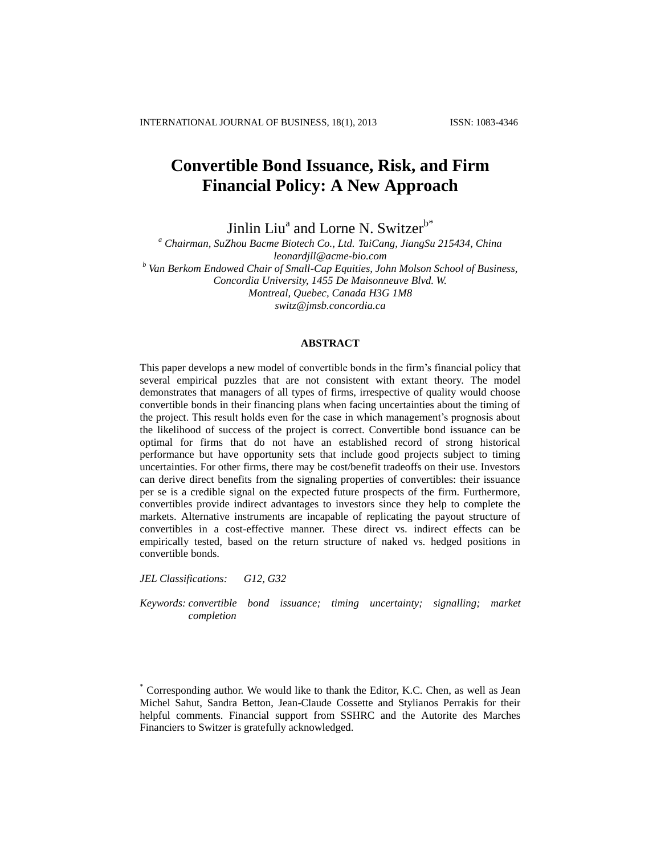# **Convertible Bond Issuance, Risk, and Firm Financial Policy: A New Approach**

Jinlin Liu<sup>a</sup> and Lorne N. Switzer<sup>b\*</sup>

*<sup>a</sup> Chairman, SuZhou Bacme Biotech Co., Ltd. TaiCang, JiangSu 215434, China leonardjll@acme-bio.com <sup>b</sup> Van Berkom Endowed Chair of Small-Cap Equities, John Molson School of Business, Concordia University, 1455 De Maisonneuve Blvd. W. Montreal, Quebec, Canada H3G 1M8 switz@jmsb.concordia.ca*

## **ABSTRACT**

This paper develops a new model of convertible bonds in the firm's financial policy that several empirical puzzles that are not consistent with extant theory. The model demonstrates that managers of all types of firms, irrespective of quality would choose convertible bonds in their financing plans when facing uncertainties about the timing of the project. This result holds even for the case in which management's prognosis about the likelihood of success of the project is correct. Convertible bond issuance can be optimal for firms that do not have an established record of strong historical performance but have opportunity sets that include good projects subject to timing uncertainties. For other firms, there may be cost/benefit tradeoffs on their use. Investors can derive direct benefits from the signaling properties of convertibles: their issuance per se is a credible signal on the expected future prospects of the firm. Furthermore, convertibles provide indirect advantages to investors since they help to complete the markets. Alternative instruments are incapable of replicating the payout structure of convertibles in a cost-effective manner. These direct vs. indirect effects can be empirically tested, based on the return structure of naked vs. hedged positions in convertible bonds.

*JEL Classifications: G12, G32*

*Keywords: convertible bond issuance; timing uncertainty; signalling; market completion*

<sup>\*</sup> Corresponding author. We would like to thank the Editor, K.C. Chen, as well as Jean Michel Sahut, Sandra Betton, Jean-Claude Cossette and Stylianos Perrakis for their helpful comments. Financial support from SSHRC and the Autorite des Marches Financiers to Switzer is gratefully acknowledged.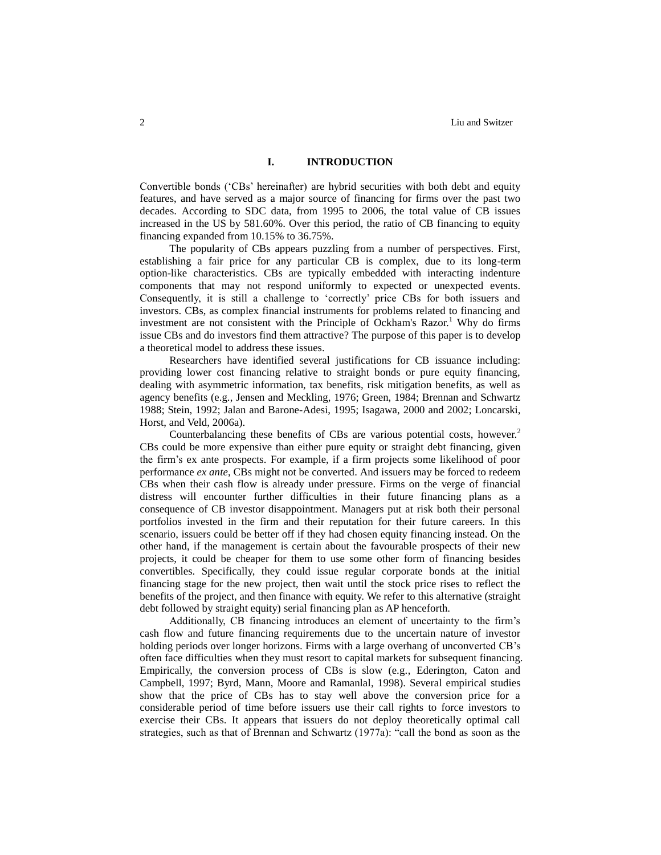### **I. INTRODUCTION**

Convertible bonds ('CBs' hereinafter) are hybrid securities with both debt and equity features, and have served as a major source of financing for firms over the past two decades. According to SDC data, from 1995 to 2006, the total value of CB issues increased in the US by 581.60%. Over this period, the ratio of CB financing to equity financing expanded from 10.15% to 36.75%.

The popularity of CBs appears puzzling from a number of perspectives. First, establishing a fair price for any particular CB is complex, due to its long-term option-like characteristics. CBs are typically embedded with interacting indenture components that may not respond uniformly to expected or unexpected events. Consequently, it is still a challenge to 'correctly' price CBs for both issuers and investors. CBs, as complex financial instruments for problems related to financing and investment are not consistent with the Principle of Ockham's Razor. <sup>1</sup> Why do firms issue CBs and do investors find them attractive? The purpose of this paper is to develop a theoretical model to address these issues.

Researchers have identified several justifications for CB issuance including: providing lower cost financing relative to straight bonds or pure equity financing, dealing with asymmetric information, tax benefits, risk mitigation benefits, as well as agency benefits (e.g., Jensen and Meckling, 1976; Green, 1984; Brennan and Schwartz 1988; Stein, 1992; Jalan and Barone-Adesi, 1995; Isagawa, 2000 and 2002; Loncarski, Horst, and Veld, 2006a).

Counterbalancing these benefits of CBs are various potential costs, however.<sup>2</sup> CBs could be more expensive than either pure equity or straight debt financing, given the firm's ex ante prospects. For example, if a firm projects some likelihood of poor performance *ex ante*, CBs might not be converted. And issuers may be forced to redeem CBs when their cash flow is already under pressure. Firms on the verge of financial distress will encounter further difficulties in their future financing plans as a consequence of CB investor disappointment. Managers put at risk both their personal portfolios invested in the firm and their reputation for their future careers. In this scenario, issuers could be better off if they had chosen equity financing instead. On the other hand, if the management is certain about the favourable prospects of their new projects, it could be cheaper for them to use some other form of financing besides convertibles. Specifically, they could issue regular corporate bonds at the initial financing stage for the new project, then wait until the stock price rises to reflect the benefits of the project, and then finance with equity. We refer to this alternative (straight debt followed by straight equity) serial financing plan as AP henceforth.

Additionally, CB financing introduces an element of uncertainty to the firm's cash flow and future financing requirements due to the uncertain nature of investor holding periods over longer horizons. Firms with a large overhang of unconverted CB's often face difficulties when they must resort to capital markets for subsequent financing. Empirically, the conversion process of CBs is slow (e.g., Ederington, Caton and Campbell, 1997; Byrd, Mann, Moore and Ramanlal, 1998). Several empirical studies show that the price of CBs has to stay well above the conversion price for a considerable period of time before issuers use their call rights to force investors to exercise their CBs. It appears that issuers do not deploy theoretically optimal call strategies, such as that of Brennan and Schwartz (1977a): "call the bond as soon as the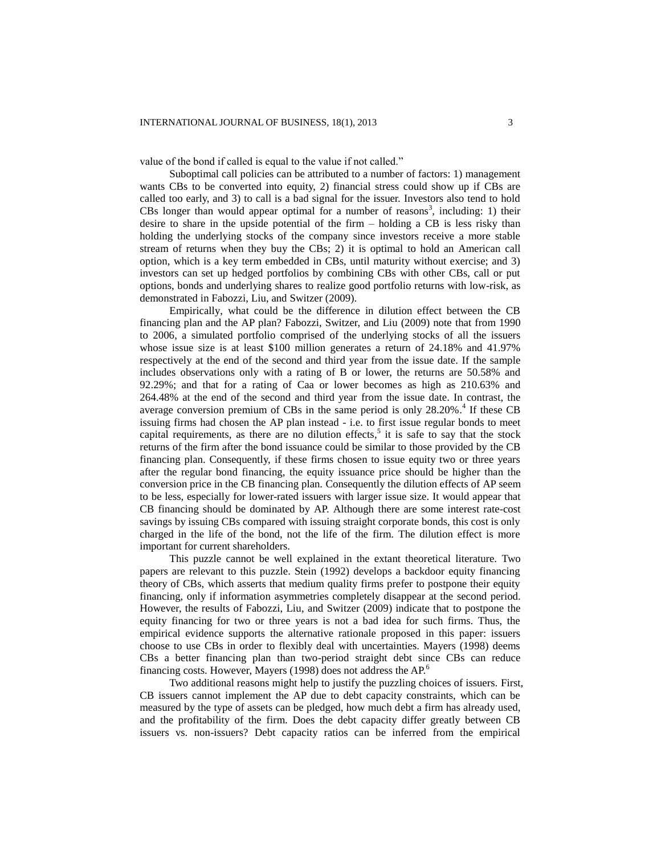value of the bond if called is equal to the value if not called."

Suboptimal call policies can be attributed to a number of factors: 1) management wants CBs to be converted into equity, 2) financial stress could show up if CBs are called too early, and 3) to call is a bad signal for the issuer. Investors also tend to hold CBs longer than would appear optimal for a number of reasons<sup>3</sup>, including: 1) their desire to share in the upside potential of the firm – holding a CB is less risky than holding the underlying stocks of the company since investors receive a more stable stream of returns when they buy the CBs; 2) it is optimal to hold an American call option, which is a key term embedded in CBs, until maturity without exercise; and 3) investors can set up hedged portfolios by combining CBs with other CBs, call or put options, bonds and underlying shares to realize good portfolio returns with low-risk, as demonstrated in Fabozzi, Liu, and Switzer (2009).

Empirically, what could be the difference in dilution effect between the CB financing plan and the AP plan? Fabozzi, Switzer, and Liu (2009) note that from 1990 to 2006, a simulated portfolio comprised of the underlying stocks of all the issuers whose issue size is at least \$100 million generates a return of 24.18% and 41.97% respectively at the end of the second and third year from the issue date. If the sample includes observations only with a rating of B or lower, the returns are 50.58% and 92.29%; and that for a rating of Caa or lower becomes as high as 210.63% and 264.48% at the end of the second and third year from the issue date. In contrast, the average conversion premium of CBs in the same period is only 28.20%. 4 If these CB issuing firms had chosen the AP plan instead - i.e. to first issue regular bonds to meet capital requirements, as there are no dilution effects,<sup>5</sup> it is safe to say that the stock returns of the firm after the bond issuance could be similar to those provided by the CB financing plan. Consequently, if these firms chosen to issue equity two or three years after the regular bond financing, the equity issuance price should be higher than the conversion price in the CB financing plan. Consequently the dilution effects of AP seem to be less, especially for lower-rated issuers with larger issue size. It would appear that CB financing should be dominated by AP. Although there are some interest rate-cost savings by issuing CBs compared with issuing straight corporate bonds, this cost is only charged in the life of the bond, not the life of the firm. The dilution effect is more important for current shareholders.

This puzzle cannot be well explained in the extant theoretical literature. Two papers are relevant to this puzzle. Stein (1992) develops a backdoor equity financing theory of CBs, which asserts that medium quality firms prefer to postpone their equity financing, only if information asymmetries completely disappear at the second period. However, the results of Fabozzi, Liu, and Switzer (2009) indicate that to postpone the equity financing for two or three years is not a bad idea for such firms. Thus, the empirical evidence supports the alternative rationale proposed in this paper: issuers choose to use CBs in order to flexibly deal with uncertainties. Mayers (1998) deems CBs a better financing plan than two-period straight debt since CBs can reduce financing costs. However, Mayers (1998) does not address the AP.<sup>6</sup>

Two additional reasons might help to justify the puzzling choices of issuers. First, CB issuers cannot implement the AP due to debt capacity constraints, which can be measured by the type of assets can be pledged, how much debt a firm has already used, and the profitability of the firm. Does the debt capacity differ greatly between CB issuers vs. non-issuers? Debt capacity ratios can be inferred from the empirical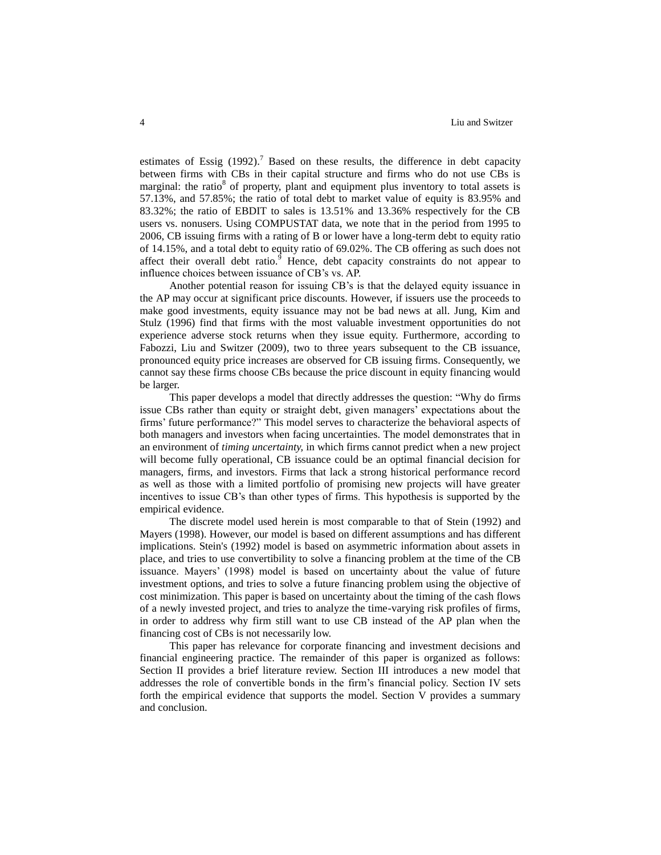estimates of Essig  $(1992)$ .<sup>7</sup> Based on these results, the difference in debt capacity between firms with CBs in their capital structure and firms who do not use CBs is marginal: the ratio<sup>8</sup> of property, plant and equipment plus inventory to total assets is 57.13%, and 57.85%; the ratio of total debt to market value of equity is 83.95% and 83.32%; the ratio of EBDIT to sales is 13.51% and 13.36% respectively for the CB users vs. nonusers. Using COMPUSTAT data, we note that in the period from 1995 to 2006, CB issuing firms with a rating of B or lower have a long-term debt to equity ratio of 14.15%, and a total debt to equity ratio of 69.02%. The CB offering as such does not affect their overall debt ratio. $9$  Hence, debt capacity constraints do not appear to influence choices between issuance of CB's vs. AP.

Another potential reason for issuing CB's is that the delayed equity issuance in the AP may occur at significant price discounts. However, if issuers use the proceeds to make good investments, equity issuance may not be bad news at all. Jung, Kim and Stulz (1996) find that firms with the most valuable investment opportunities do not experience adverse stock returns when they issue equity. Furthermore, according to Fabozzi, Liu and Switzer (2009), two to three years subsequent to the CB issuance, pronounced equity price increases are observed for CB issuing firms. Consequently, we cannot say these firms choose CBs because the price discount in equity financing would be larger.

This paper develops a model that directly addresses the question: "Why do firms issue CBs rather than equity or straight debt, given managers' expectations about the firms' future performance?" This model serves to characterize the behavioral aspects of both managers and investors when facing uncertainties. The model demonstrates that in an environment of *timing uncertainty,* in which firms cannot predict when a new project will become fully operational, CB issuance could be an optimal financial decision for managers, firms, and investors. Firms that lack a strong historical performance record as well as those with a limited portfolio of promising new projects will have greater incentives to issue CB's than other types of firms. This hypothesis is supported by the empirical evidence.

The discrete model used herein is most comparable to that of Stein (1992) and Mayers (1998). However, our model is based on different assumptions and has different implications. Stein's (1992) model is based on asymmetric information about assets in place, and tries to use convertibility to solve a financing problem at the time of the CB issuance. Mayers' (1998) model is based on uncertainty about the value of future investment options, and tries to solve a future financing problem using the objective of cost minimization. This paper is based on uncertainty about the timing of the cash flows of a newly invested project, and tries to analyze the time-varying risk profiles of firms, in order to address why firm still want to use CB instead of the AP plan when the financing cost of CBs is not necessarily low.

This paper has relevance for corporate financing and investment decisions and financial engineering practice. The remainder of this paper is organized as follows: Section II provides a brief literature review. Section III introduces a new model that addresses the role of convertible bonds in the firm's financial policy. Section IV sets forth the empirical evidence that supports the model. Section V provides a summary and conclusion.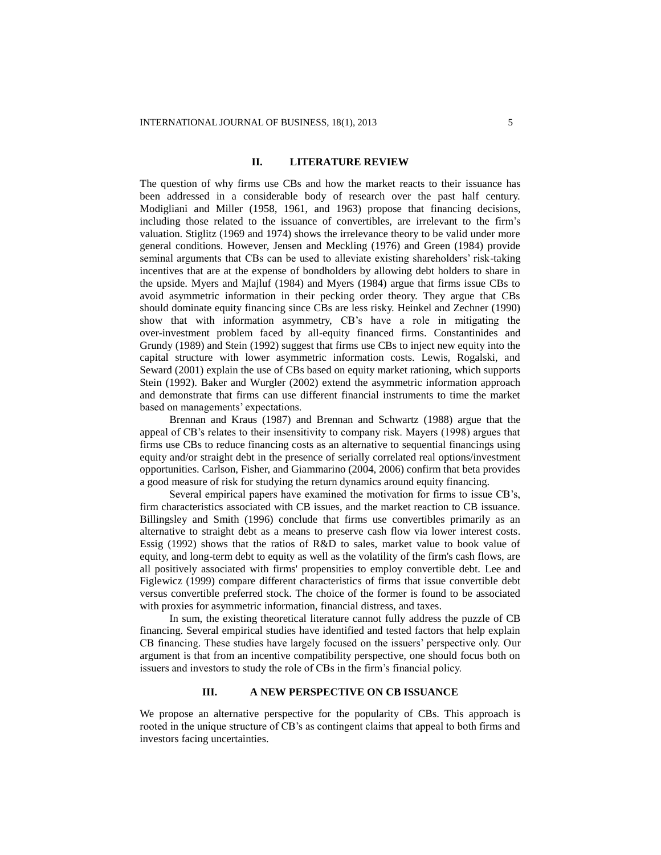### **II. LITERATURE REVIEW**

The question of why firms use CBs and how the market reacts to their issuance has been addressed in a considerable body of research over the past half century. Modigliani and Miller (1958, 1961, and 1963) propose that financing decisions, including those related to the issuance of convertibles, are irrelevant to the firm's valuation. Stiglitz (1969 and 1974) shows the irrelevance theory to be valid under more general conditions. However, Jensen and Meckling (1976) and Green (1984) provide seminal arguments that CBs can be used to alleviate existing shareholders' risk-taking incentives that are at the expense of bondholders by allowing debt holders to share in the upside. Myers and Majluf (1984) and Myers (1984) argue that firms issue CBs to avoid asymmetric information in their pecking order theory. They argue that CBs should dominate equity financing since CBs are less risky. Heinkel and Zechner (1990) show that with information asymmetry, CB's have a role in mitigating the over-investment problem faced by all-equity financed firms. Constantinides and Grundy (1989) and Stein (1992) suggest that firms use CBs to inject new equity into the capital structure with lower asymmetric information costs. Lewis, Rogalski, and Seward (2001) explain the use of CBs based on equity market rationing, which supports Stein (1992). Baker and Wurgler (2002) extend the asymmetric information approach and demonstrate that firms can use different financial instruments to time the market based on managements' expectations.

Brennan and Kraus (1987) and Brennan and Schwartz (1988) argue that the appeal of CB's relates to their insensitivity to company risk. Mayers (1998) argues that firms use CBs to reduce financing costs as an alternative to sequential financings using equity and/or straight debt in the presence of serially correlated real options/investment opportunities. Carlson, Fisher, and Giammarino (2004, 2006) confirm that beta provides a good measure of risk for studying the return dynamics around equity financing.

Several empirical papers have examined the motivation for firms to issue CB's, firm characteristics associated with CB issues, and the market reaction to CB issuance. Billingsley and Smith (1996) conclude that firms use convertibles primarily as an alternative to straight debt as a means to preserve cash flow via lower interest costs. Essig (1992) shows that the ratios of R&D to sales, market value to book value of equity, and long-term debt to equity as well as the volatility of the firm's cash flows, are all positively associated with firms' propensities to employ convertible debt. Lee and Figlewicz (1999) compare different characteristics of firms that issue convertible debt versus convertible preferred stock. The choice of the former is found to be associated with proxies for asymmetric information, financial distress, and taxes.

In sum, the existing theoretical literature cannot fully address the puzzle of CB financing. Several empirical studies have identified and tested factors that help explain CB financing. These studies have largely focused on the issuers' perspective only. Our argument is that from an incentive compatibility perspective, one should focus both on issuers and investors to study the role of CBs in the firm's financial policy.

### **III. A NEW PERSPECTIVE ON CB ISSUANCE**

We propose an alternative perspective for the popularity of CBs. This approach is rooted in the unique structure of CB's as contingent claims that appeal to both firms and investors facing uncertainties.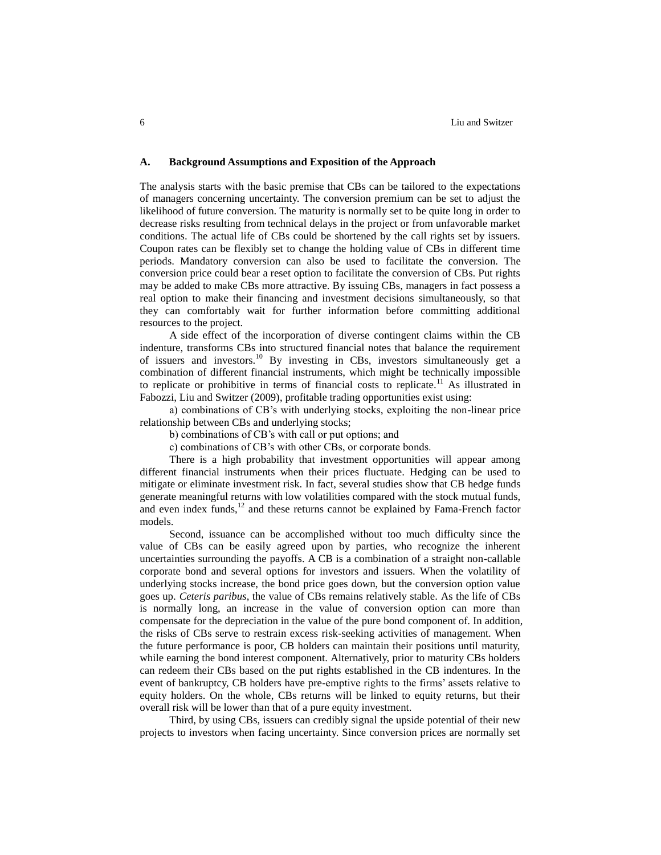#### **A. Background Assumptions and Exposition of the Approach**

The analysis starts with the basic premise that CBs can be tailored to the expectations of managers concerning uncertainty. The conversion premium can be set to adjust the likelihood of future conversion. The maturity is normally set to be quite long in order to decrease risks resulting from technical delays in the project or from unfavorable market conditions. The actual life of CBs could be shortened by the call rights set by issuers. Coupon rates can be flexibly set to change the holding value of CBs in different time periods. Mandatory conversion can also be used to facilitate the conversion. The conversion price could bear a reset option to facilitate the conversion of CBs. Put rights may be added to make CBs more attractive. By issuing CBs, managers in fact possess a real option to make their financing and investment decisions simultaneously, so that they can comfortably wait for further information before committing additional resources to the project.

A side effect of the incorporation of diverse contingent claims within the CB indenture, transforms CBs into structured financial notes that balance the requirement of issuers and investors.<sup>10</sup> By investing in CBs, investors simultaneously get a combination of different financial instruments, which might be technically impossible to replicate or prohibitive in terms of financial costs to replicate.<sup>11</sup> As illustrated in Fabozzi, Liu and Switzer (2009), profitable trading opportunities exist using:

a) combinations of CB's with underlying stocks, exploiting the non-linear price relationship between CBs and underlying stocks;

b) combinations of CB's with call or put options; and

c) combinations of CB's with other CBs, or corporate bonds.

There is a high probability that investment opportunities will appear among different financial instruments when their prices fluctuate. Hedging can be used to mitigate or eliminate investment risk. In fact, several studies show that CB hedge funds generate meaningful returns with low volatilities compared with the stock mutual funds, and even index funds, $12$  and these returns cannot be explained by Fama-French factor models.

Second, issuance can be accomplished without too much difficulty since the value of CBs can be easily agreed upon by parties, who recognize the inherent uncertainties surrounding the payoffs. A CB is a combination of a straight non-callable corporate bond and several options for investors and issuers. When the volatility of underlying stocks increase, the bond price goes down, but the conversion option value goes up. *Ceteris paribus*, the value of CBs remains relatively stable. As the life of CBs is normally long, an increase in the value of conversion option can more than compensate for the depreciation in the value of the pure bond component of. In addition, the risks of CBs serve to restrain excess risk-seeking activities of management. When the future performance is poor, CB holders can maintain their positions until maturity, while earning the bond interest component. Alternatively, prior to maturity CBs holders can redeem their CBs based on the put rights established in the CB indentures. In the event of bankruptcy, CB holders have pre-emptive rights to the firms' assets relative to equity holders. On the whole, CBs returns will be linked to equity returns, but their overall risk will be lower than that of a pure equity investment.

Third, by using CBs, issuers can credibly signal the upside potential of their new projects to investors when facing uncertainty. Since conversion prices are normally set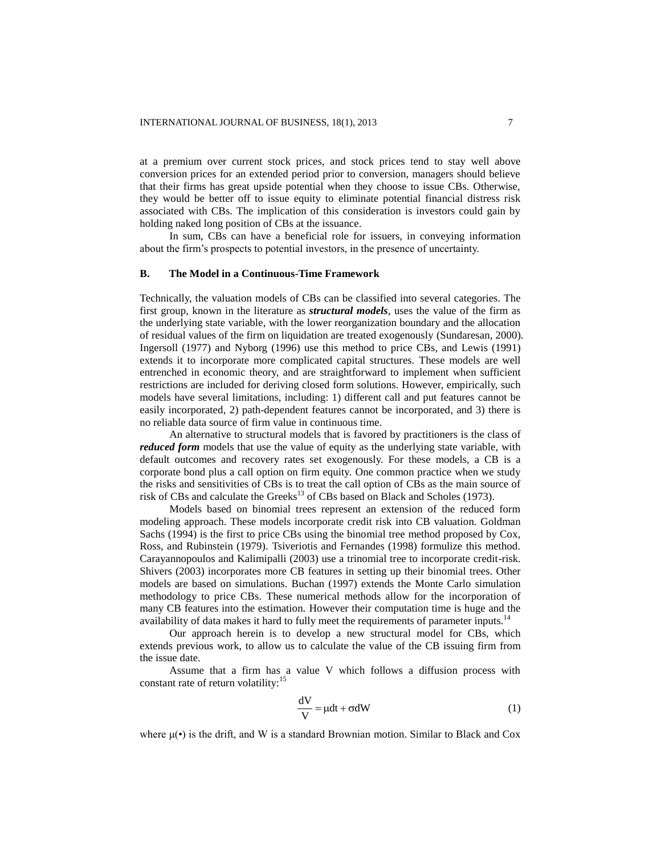at a premium over current stock prices, and stock prices tend to stay well above conversion prices for an extended period prior to conversion, managers should believe that their firms has great upside potential when they choose to issue CBs. Otherwise, they would be better off to issue equity to eliminate potential financial distress risk associated with CBs. The implication of this consideration is investors could gain by holding naked long position of CBs at the issuance.

In sum, CBs can have a beneficial role for issuers, in conveying information about the firm's prospects to potential investors, in the presence of uncertainty.

# **B. The Model in a Continuous-Time Framework**

Technically, the valuation models of CBs can be classified into several categories. The first group, known in the literature as *structural models*, uses the value of the firm as the underlying state variable, with the lower reorganization boundary and the allocation of residual values of the firm on liquidation are treated exogenously (Sundaresan, 2000). Ingersoll (1977) and Nyborg (1996) use this method to price CBs, and Lewis (1991) extends it to incorporate more complicated capital structures. These models are well entrenched in economic theory, and are straightforward to implement when sufficient restrictions are included for deriving closed form solutions. However, empirically, such models have several limitations, including: 1) different call and put features cannot be easily incorporated, 2) path-dependent features cannot be incorporated, and 3) there is no reliable data source of firm value in continuous time.

An alternative to structural models that is favored by practitioners is the class of *reduced form* models that use the value of equity as the underlying state variable, with default outcomes and recovery rates set exogenously. For these models, a CB is a corporate bond plus a call option on firm equity. One common practice when we study the risks and sensitivities of CBs is to treat the call option of CBs as the main source of risk of CBs and calculate the Greeks<sup>13</sup> of CBs based on Black and Scholes (1973).

Models based on binomial trees represent an extension of the reduced form modeling approach. These models incorporate credit risk into CB valuation. Goldman Sachs (1994) is the first to price CBs using the binomial tree method proposed by Cox, Ross, and Rubinstein (1979). Tsiveriotis and Fernandes (1998) formulize this method. Carayannopoulos and Kalimipalli (2003) use a trinomial tree to incorporate credit-risk. Shivers (2003) incorporates more CB features in setting up their binomial trees. Other models are based on simulations. Buchan (1997) extends the Monte Carlo simulation methodology to price CBs. These numerical methods allow for the incorporation of many CB features into the estimation. However their computation time is huge and the availability of data makes it hard to fully meet the requirements of parameter inputs.<sup>14</sup>

Our approach herein is to develop a new structural model for CBs, which extends previous work, to allow us to calculate the value of the CB issuing firm from the issue date.

Assume that a firm has a value V which follows a diffusion process with constant rate of return volatility:<sup>15</sup>

$$
\frac{dV}{V} = \mu dt + \sigma dW
$$
 (1)

where  $\mu(\cdot)$  is the drift, and W is a standard Brownian motion. Similar to Black and Cox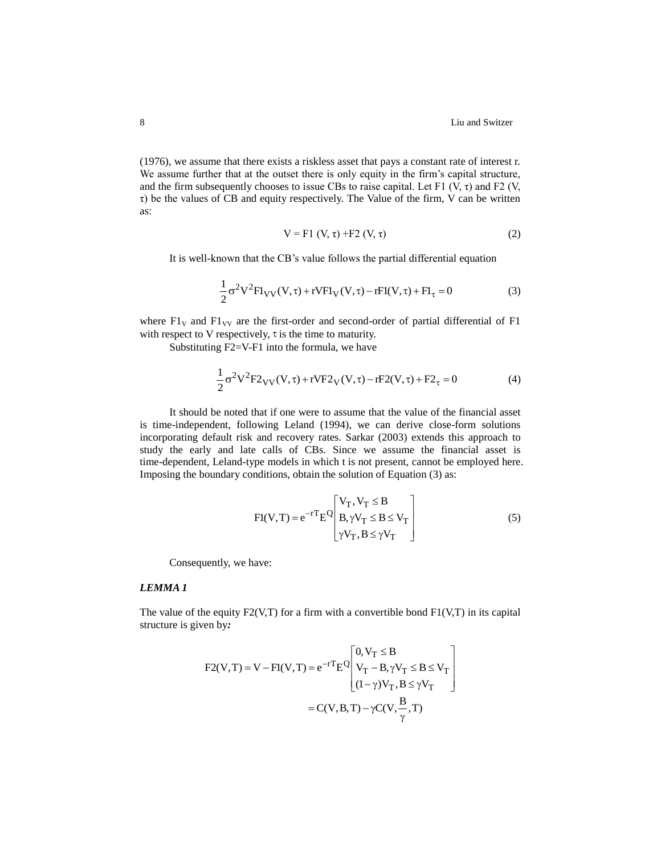(1976), we assume that there exists a riskless asset that pays a constant rate of interest r. We assume further that at the outset there is only equity in the firm's capital structure, and the firm subsequently chooses to issue CBs to raise capital. Let F1  $(V, \tau)$  and F2  $(V, \tau)$  $\tau$ ) be the values of CB and equity respectively. The Value of the firm, V can be written as:

$$
V = F1 (V, \tau) + F2 (V, \tau)
$$
 (2)

It is well-known that the CB's value follows the partial differential equation

$$
\frac{1}{2}\sigma^2 V^2 F I_{VV}(V,\tau) + r V F I_V(V,\tau) - r F I(V,\tau) + F I_\tau = 0
$$
\n(3)

where  $F1_V$  and  $F1_{VV}$  are the first-order and second-order of partial differential of F1 with respect to V respectively,  $\tau$  is the time to maturity.

Substituting F2=V-F1 into the formula, we have

$$
\frac{1}{2}\sigma^2 V^2 F 2_{VV}(V,\tau) + r V F 2_V(V,\tau) - r F 2(V,\tau) + F 2_{\tau} = 0
$$
 (4)

It should be noted that if one were to assume that the value of the financial asset is time-independent, following Leland (1994), we can derive close-form solutions incorporating default risk and recovery rates. Sarkar (2003) extends this approach to study the early and late calls of CBs. Since we assume the financial asset is time-dependent, Leland-type models in which t is not present, cannot be employed here. Imposing the boundary conditions, obtain the solution of Equation (3) as:

$$
Fl(V,T) = e^{-rT} E^{Q} \begin{bmatrix} V_T, V_T \leq B \\ B, \gamma V_T \leq B \leq V_T \\ \gamma V_T, B \leq \gamma V_T \end{bmatrix}
$$
(5)

Consequently, we have:

# *LEMMA 1*

The value of the equity  $F2(V,T)$  for a firm with a convertible bond  $F1(V,T)$  in its capital structure is given by*:*

$$
F2(V,T) = V - Fl(V,T) = e^{-rT} E^{Q} \begin{bmatrix} 0, V_T \leq B \\ V_T - B, \gamma V_T \leq B \leq V_T \\ (1 - \gamma) V_T, B \leq \gamma V_T \end{bmatrix}
$$

$$
= C(V,B,T) - \gamma C(V, \frac{B}{\gamma}, T)
$$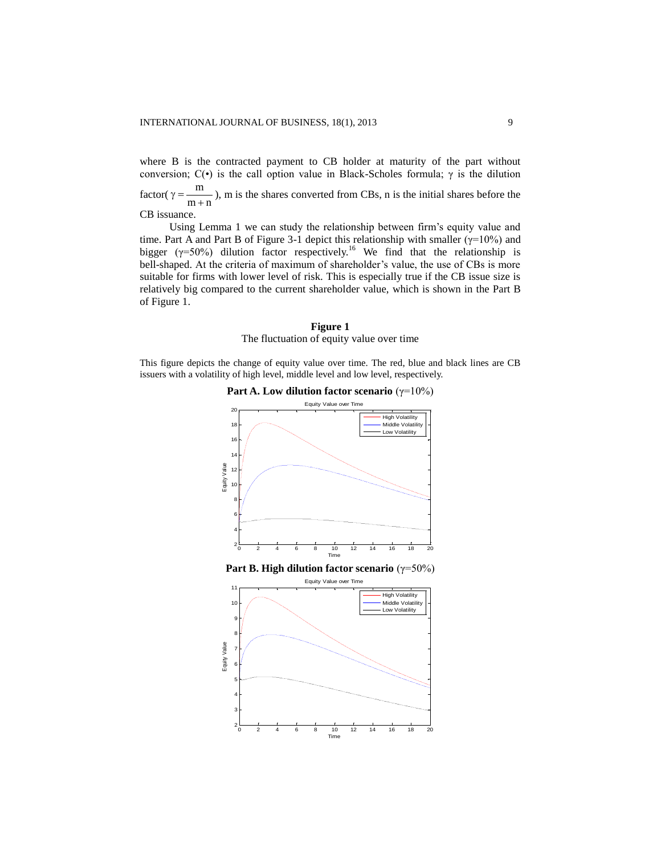where B is the contracted payment to CB holder at maturity of the part without conversion;  $C(\cdot)$  is the call option value in Black-Scholes formula;  $\gamma$  is the dilution factor( $\gamma = \frac{m}{m+n}$ m  $\gamma = \frac{m}{m+n}$ ), m is the shares converted from CBs, n is the initial shares before the CB issuance.

Using Lemma 1 we can study the relationship between firm's equity value and time. Part A and Part B of Figure 3-1 depict this relationship with smaller ( $\gamma$ =10%) and bigger ( $\gamma$ =50%) dilution factor respectively.<sup>16</sup> We find that the relationship is bell-shaped. At the criteria of maximum of shareholder's value, the use of CBs is more suitable for firms with lower level of risk. This is especially true if the CB issue size is relatively big compared to the current shareholder value, which is shown in the Part B of Figure 1.

#### **Figure 1**

The fluctuation of equity value over time

This figure depicts the change of equity value over time. The red, blue and black lines are CB issuers with a volatility of high level, middle level and low level, respectively.

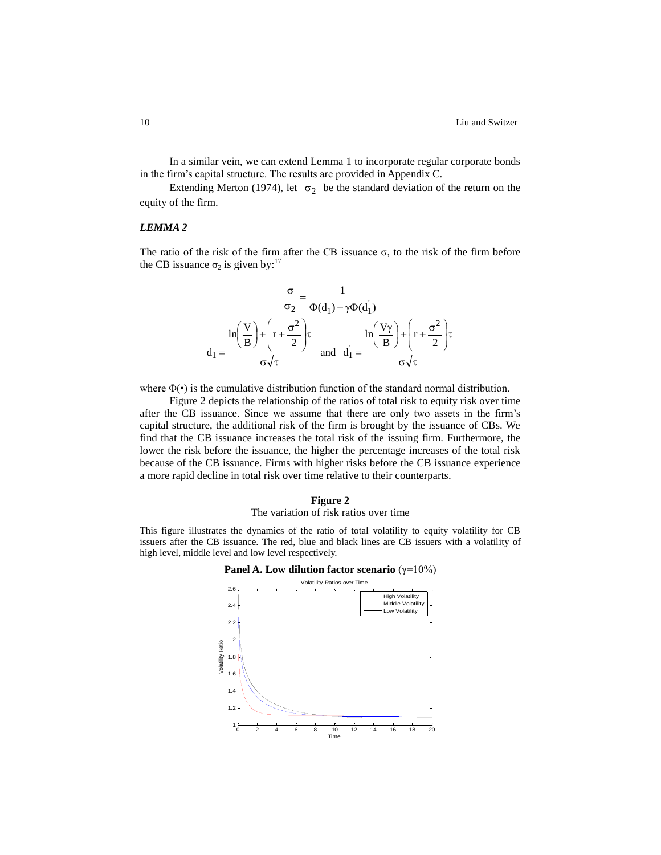In a similar vein, we can extend Lemma 1 to incorporate regular corporate bonds in the firm's capital structure. The results are provided in Appendix C.

Extending Merton (1974), let  $\sigma_2$  be the standard deviation of the return on the equity of the firm.

#### *LEMMA 2*

The ratio of the risk of the firm after the CB issuance  $\sigma$ , to the risk of the firm before the CB issuance  $\sigma_2$  is given by:<sup>17</sup>

$$
\frac{\sigma}{\sigma_2} = \frac{1}{\Phi(d_1) - \gamma \Phi(d_1)}
$$

$$
d_1 = \frac{\ln\left(\frac{V}{B}\right) + \left(r + \frac{\sigma^2}{2}\right)\tau}{\sigma\sqrt{\tau}} \quad \text{and} \quad d_1 = \frac{\ln\left(\frac{V\gamma}{B}\right) + \left(r + \frac{\sigma^2}{2}\right)\tau}{\sigma\sqrt{\tau}}
$$

where  $\Phi(\cdot)$  is the cumulative distribution function of the standard normal distribution.

Figure 2 depicts the relationship of the ratios of total risk to equity risk over time after the CB issuance. Since we assume that there are only two assets in the firm's capital structure, the additional risk of the firm is brought by the issuance of CBs. We find that the CB issuance increases the total risk of the issuing firm. Furthermore, the lower the risk before the issuance, the higher the percentage increases of the total risk because of the CB issuance. Firms with higher risks before the CB issuance experience a more rapid decline in total risk over time relative to their counterparts.

#### **Figure 2** The variation of risk ratios over time

This figure illustrates the dynamics of the ratio of total volatility to equity volatility for CB issuers after the CB issuance. The red, blue and black lines are CB issuers with a volatility of high level, middle level and low level respectively.

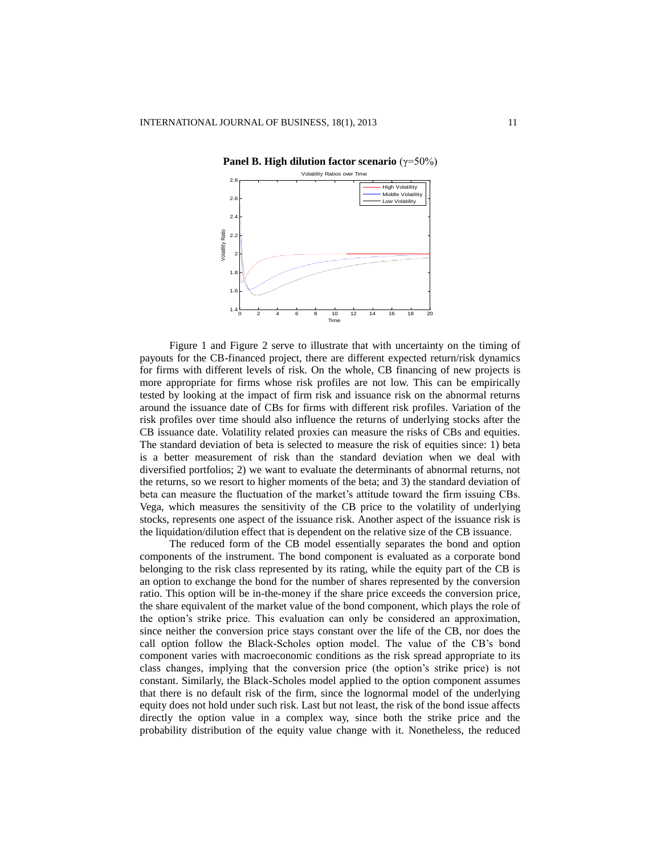

Figure 1 and Figure 2 serve to illustrate that with uncertainty on the timing of payouts for the CB-financed project, there are different expected return/risk dynamics for firms with different levels of risk. On the whole, CB financing of new projects is more appropriate for firms whose risk profiles are not low. This can be empirically tested by looking at the impact of firm risk and issuance risk on the abnormal returns around the issuance date of CBs for firms with different risk profiles. Variation of the risk profiles over time should also influence the returns of underlying stocks after the CB issuance date. Volatility related proxies can measure the risks of CBs and equities. The standard deviation of beta is selected to measure the risk of equities since: 1) beta is a better measurement of risk than the standard deviation when we deal with diversified portfolios; 2) we want to evaluate the determinants of abnormal returns, not the returns, so we resort to higher moments of the beta; and 3) the standard deviation of beta can measure the fluctuation of the market's attitude toward the firm issuing CBs. Vega, which measures the sensitivity of the CB price to the volatility of underlying stocks, represents one aspect of the issuance risk. Another aspect of the issuance risk is the liquidation/dilution effect that is dependent on the relative size of the CB issuance.

The reduced form of the CB model essentially separates the bond and option components of the instrument. The bond component is evaluated as a corporate bond belonging to the risk class represented by its rating, while the equity part of the CB is an option to exchange the bond for the number of shares represented by the conversion ratio. This option will be in-the-money if the share price exceeds the conversion price, the share equivalent of the market value of the bond component, which plays the role of the option's strike price. This evaluation can only be considered an approximation, since neither the conversion price stays constant over the life of the CB, nor does the call option follow the Black-Scholes option model. The value of the CB's bond component varies with macroeconomic conditions as the risk spread appropriate to its class changes, implying that the conversion price (the option's strike price) is not constant. Similarly, the Black-Scholes model applied to the option component assumes that there is no default risk of the firm, since the lognormal model of the underlying equity does not hold under such risk. Last but not least, the risk of the bond issue affects directly the option value in a complex way, since both the strike price and the probability distribution of the equity value change with it. Nonetheless, the reduced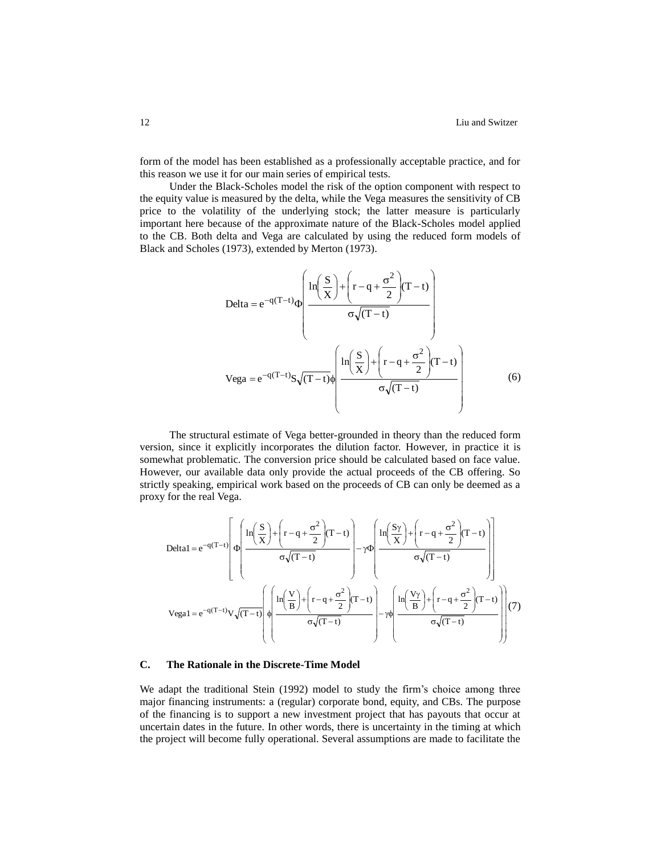form of the model has been established as a professionally acceptable practice, and for this reason we use it for our main series of empirical tests.

Under the Black-Scholes model the risk of the option component with respect to the equity value is measured by the delta, while the Vega measures the sensitivity of CB price to the volatility of the underlying stock; the latter measure is particularly important here because of the approximate nature of the Black-Scholes model applied to the CB. Both delta and Vega are calculated by using the reduced form models of Black and Scholes (1973), extended by Merton (1973).

$$
\text{Delta} = e^{-q(T-t)} \Phi \left( \frac{\ln \left( \frac{S}{X} \right) + \left( r - q + \frac{\sigma^2}{2} \right) (T-t)}{\sigma \sqrt{(T-t)}} \right)
$$
\n
$$
\text{Vega} = e^{-q(T-t)} S \sqrt{(T-t)} \Phi \left( \frac{\ln \left( \frac{S}{X} \right) + \left( r - q + \frac{\sigma^2}{2} \right) (T-t)}{\sigma \sqrt{(T-t)}} \right) \tag{6}
$$

The structural estimate of Vega better-grounded in theory than the reduced form version, since it explicitly incorporates the dilution factor. However, in practice it is somewhat problematic. The conversion price should be calculated based on face value. However, our available data only provide the actual proceeds of the CB offering. So strictly speaking, empirical work based on the proceeds of CB can only be deemed as a proxy for the real Vega.

$$
\text{Delta1} = e^{-q(T-t)} \left[ \Phi \left( \frac{\ln \left( \frac{S}{X} \right) + \left( r - q + \frac{\sigma^2}{2} \right) (T-t)}{\sigma \sqrt{(T-t)}} \right) - \gamma \Phi \left( \frac{\ln \left( \frac{S\gamma}{X} \right) + \left( r - q + \frac{\sigma^2}{2} \right) (T-t)}{\sigma \sqrt{(T-t)}} \right) \right]
$$
\n
$$
\text{Vega1} = e^{-q(T-t)} \text{V}\sqrt{(T-t)} \left( \Phi \left( \frac{\ln \left( \frac{V}{B} \right) + \left( r - q + \frac{\sigma^2}{2} \right) (T-t)}{\sigma \sqrt{(T-t)}} \right) - \gamma \Phi \left( \frac{\ln \left( \frac{V\gamma}{B} \right) + \left( r - q + \frac{\sigma^2}{2} \right) (T-t)}{\sigma \sqrt{(T-t)}} \right) \right] (7)
$$

#### **C. The Rationale in the Discrete-Time Model**

We adapt the traditional Stein (1992) model to study the firm's choice among three major financing instruments: a (regular) corporate bond, equity, and CBs. The purpose of the financing is to support a new investment project that has payouts that occur at uncertain dates in the future. In other words, there is uncertainty in the timing at which the project will become fully operational. Several assumptions are made to facilitate the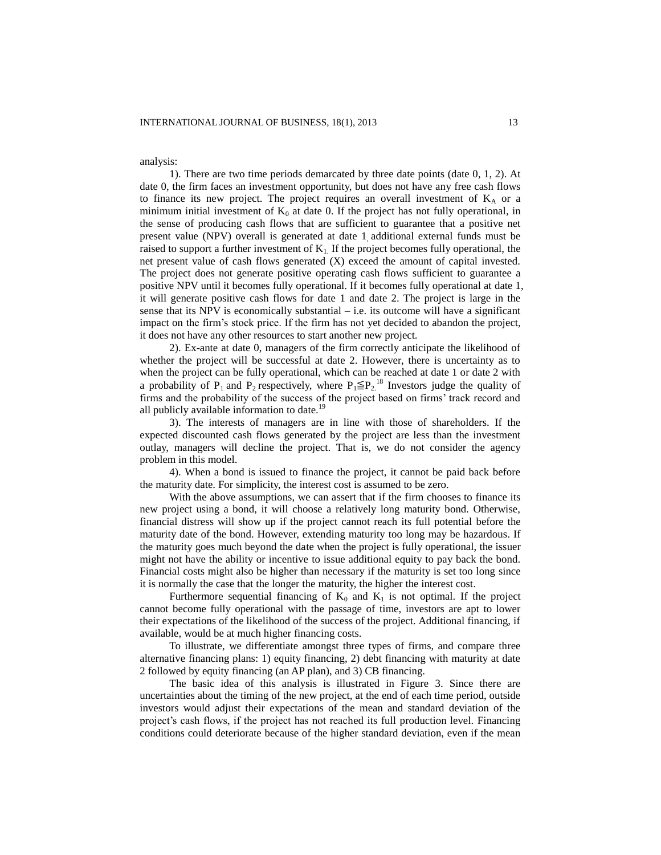#### analysis:

1). There are two time periods demarcated by three date points (date 0, 1, 2). At date 0, the firm faces an investment opportunity, but does not have any free cash flows to finance its new project. The project requires an overall investment of  $K_A$  or a minimum initial investment of  $K_0$  at date 0. If the project has not fully operational, in the sense of producing cash flows that are sufficient to guarantee that a positive net present value (NPV) overall is generated at date 1, additional external funds must be raised to support a further investment of  $K<sub>1</sub>$ . If the project becomes fully operational, the net present value of cash flows generated (X) exceed the amount of capital invested. The project does not generate positive operating cash flows sufficient to guarantee a positive NPV until it becomes fully operational. If it becomes fully operational at date 1, it will generate positive cash flows for date 1 and date 2. The project is large in the sense that its NPV is economically substantial  $-$  i.e. its outcome will have a significant impact on the firm's stock price. If the firm has not yet decided to abandon the project, it does not have any other resources to start another new project.

2). Ex-ante at date 0, managers of the firm correctly anticipate the likelihood of whether the project will be successful at date 2. However, there is uncertainty as to when the project can be fully operational, which can be reached at date 1 or date 2 with a probability of  $P_1$  and  $P_2$  respectively, where  $P_1 \leq P_2$ <sup>18</sup> Investors judge the quality of firms and the probability of the success of the project based on firms' track record and all publicly available information to date.<sup>19</sup>

3). The interests of managers are in line with those of shareholders. If the expected discounted cash flows generated by the project are less than the investment outlay, managers will decline the project. That is, we do not consider the agency problem in this model.

4). When a bond is issued to finance the project, it cannot be paid back before the maturity date. For simplicity, the interest cost is assumed to be zero.

With the above assumptions, we can assert that if the firm chooses to finance its new project using a bond, it will choose a relatively long maturity bond. Otherwise, financial distress will show up if the project cannot reach its full potential before the maturity date of the bond. However, extending maturity too long may be hazardous. If the maturity goes much beyond the date when the project is fully operational, the issuer might not have the ability or incentive to issue additional equity to pay back the bond. Financial costs might also be higher than necessary if the maturity is set too long since it is normally the case that the longer the maturity, the higher the interest cost.

Furthermore sequential financing of  $K_0$  and  $K_1$  is not optimal. If the project cannot become fully operational with the passage of time, investors are apt to lower their expectations of the likelihood of the success of the project. Additional financing, if available, would be at much higher financing costs.

To illustrate, we differentiate amongst three types of firms, and compare three alternative financing plans: 1) equity financing, 2) debt financing with maturity at date 2 followed by equity financing (an AP plan), and 3) CB financing.

The basic idea of this analysis is illustrated in Figure 3. Since there are uncertainties about the timing of the new project, at the end of each time period, outside investors would adjust their expectations of the mean and standard deviation of the project's cash flows, if the project has not reached its full production level. Financing conditions could deteriorate because of the higher standard deviation, even if the mean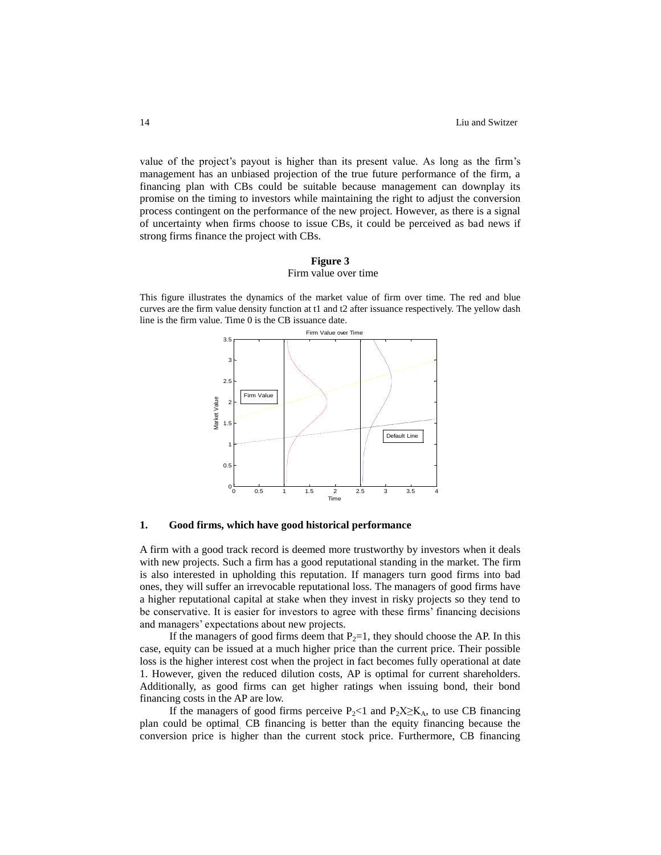value of the project's payout is higher than its present value. As long as the firm's management has an unbiased projection of the true future performance of the firm, a financing plan with CBs could be suitable because management can downplay its promise on the timing to investors while maintaining the right to adjust the conversion process contingent on the performance of the new project. However, as there is a signal of uncertainty when firms choose to issue CBs, it could be perceived as bad news if strong firms finance the project with CBs.

## **Figure 3** Firm value over time

This figure illustrates the dynamics of the market value of firm over time. The red and blue curves are the firm value density function at t1 and t2 after issuance respectively. The yellow dash line is the firm value. Time 0 is the CB issuance date.



## **1. Good firms, which have good historical performance**

A firm with a good track record is deemed more trustworthy by investors when it deals with new projects. Such a firm has a good reputational standing in the market. The firm is also interested in upholding this reputation. If managers turn good firms into bad ones, they will suffer an irrevocable reputational loss. The managers of good firms have a higher reputational capital at stake when they invest in risky projects so they tend to be conservative. It is easier for investors to agree with these firms' financing decisions and managers' expectations about new projects.

If the managers of good firms deem that  $P_2=1$ , they should choose the AP. In this case, equity can be issued at a much higher price than the current price. Their possible loss is the higher interest cost when the project in fact becomes fully operational at date 1. However, given the reduced dilution costs, AP is optimal for current shareholders. Additionally, as good firms can get higher ratings when issuing bond, their bond financing costs in the AP are low.

If the managers of good firms perceive  $P_2$ <1 and  $P_2X\geq K_A$ , to use CB financing plan could be optimal. CB financing is better than the equity financing because the conversion price is higher than the current stock price. Furthermore, CB financing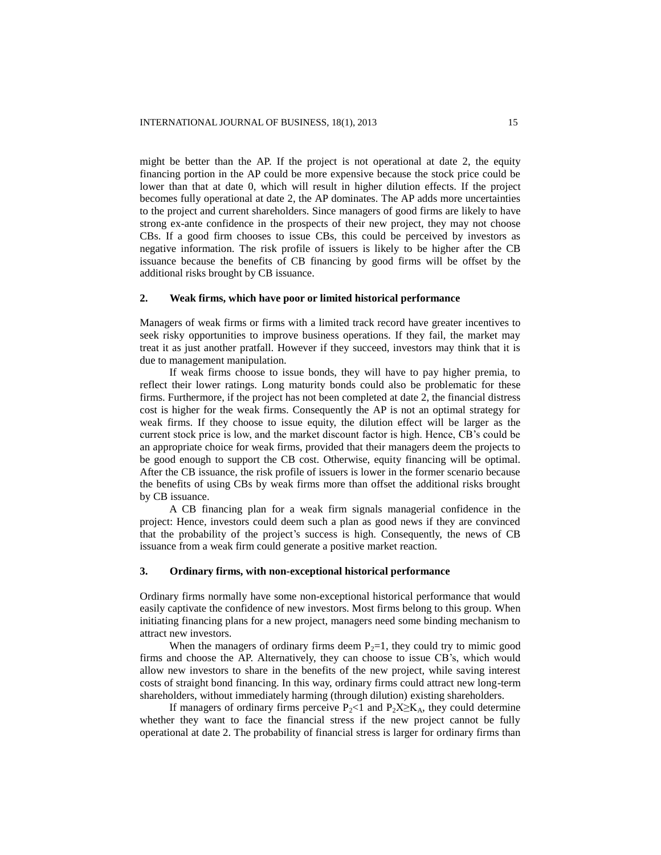might be better than the AP. If the project is not operational at date 2, the equity financing portion in the AP could be more expensive because the stock price could be lower than that at date 0, which will result in higher dilution effects. If the project becomes fully operational at date 2, the AP dominates. The AP adds more uncertainties to the project and current shareholders. Since managers of good firms are likely to have strong ex-ante confidence in the prospects of their new project, they may not choose CBs. If a good firm chooses to issue CBs, this could be perceived by investors as negative information. The risk profile of issuers is likely to be higher after the CB issuance because the benefits of CB financing by good firms will be offset by the additional risks brought by CB issuance.

# **2. Weak firms, which have poor or limited historical performance**

Managers of weak firms or firms with a limited track record have greater incentives to seek risky opportunities to improve business operations. If they fail, the market may treat it as just another pratfall. However if they succeed, investors may think that it is due to management manipulation.

If weak firms choose to issue bonds, they will have to pay higher premia, to reflect their lower ratings. Long maturity bonds could also be problematic for these firms. Furthermore, if the project has not been completed at date 2, the financial distress cost is higher for the weak firms. Consequently the AP is not an optimal strategy for weak firms. If they choose to issue equity, the dilution effect will be larger as the current stock price is low, and the market discount factor is high. Hence, CB's could be an appropriate choice for weak firms, provided that their managers deem the projects to be good enough to support the CB cost. Otherwise, equity financing will be optimal. After the CB issuance, the risk profile of issuers is lower in the former scenario because the benefits of using CBs by weak firms more than offset the additional risks brought by CB issuance.

A CB financing plan for a weak firm signals managerial confidence in the project: Hence, investors could deem such a plan as good news if they are convinced that the probability of the project's success is high. Consequently, the news of CB issuance from a weak firm could generate a positive market reaction.

#### **3. Ordinary firms, with non-exceptional historical performance**

Ordinary firms normally have some non-exceptional historical performance that would easily captivate the confidence of new investors. Most firms belong to this group. When initiating financing plans for a new project, managers need some binding mechanism to attract new investors.

When the managers of ordinary firms deem  $P_2=1$ , they could try to mimic good firms and choose the AP. Alternatively, they can choose to issue CB's, which would allow new investors to share in the benefits of the new project, while saving interest costs of straight bond financing. In this way, ordinary firms could attract new long-term shareholders, without immediately harming (through dilution) existing shareholders.

If managers of ordinary firms perceive  $P_2 \le 1$  and  $P_2X \ge K_A$ , they could determine whether they want to face the financial stress if the new project cannot be fully operational at date 2. The probability of financial stress is larger for ordinary firms than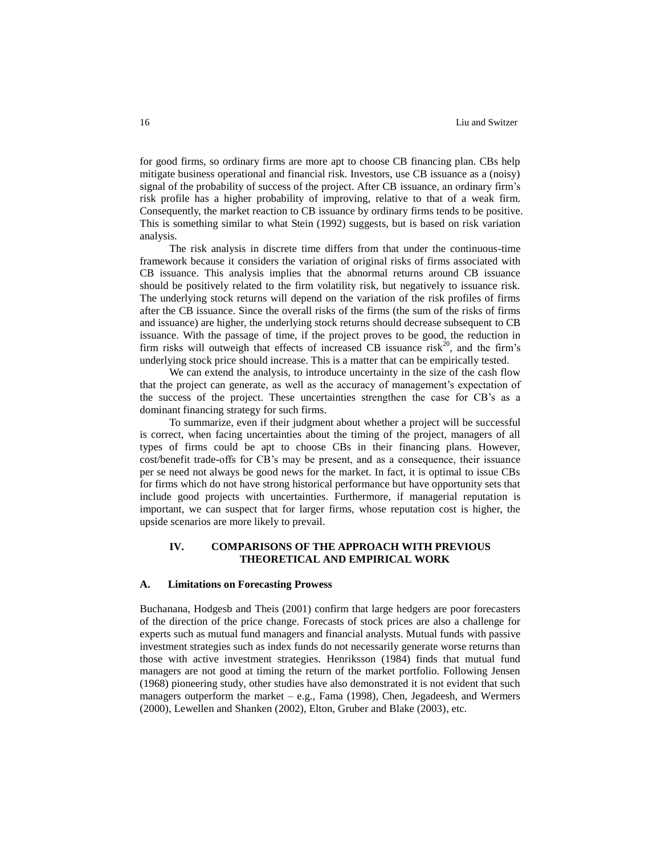for good firms, so ordinary firms are more apt to choose CB financing plan. CBs help mitigate business operational and financial risk. Investors, use CB issuance as a (noisy) signal of the probability of success of the project. After CB issuance, an ordinary firm's risk profile has a higher probability of improving, relative to that of a weak firm. Consequently, the market reaction to CB issuance by ordinary firms tends to be positive. This is something similar to what Stein (1992) suggests, but is based on risk variation analysis.

The risk analysis in discrete time differs from that under the continuous-time framework because it considers the variation of original risks of firms associated with CB issuance. This analysis implies that the abnormal returns around CB issuance should be positively related to the firm volatility risk, but negatively to issuance risk. The underlying stock returns will depend on the variation of the risk profiles of firms after the CB issuance. Since the overall risks of the firms (the sum of the risks of firms and issuance) are higher, the underlying stock returns should decrease subsequent to CB issuance. With the passage of time, if the project proves to be good, the reduction in firm risks will outweigh that effects of increased CB issuance  $risk^{20}$ , and the firm's underlying stock price should increase. This is a matter that can be empirically tested.

We can extend the analysis, to introduce uncertainty in the size of the cash flow that the project can generate, as well as the accuracy of management's expectation of the success of the project. These uncertainties strengthen the case for CB's as a dominant financing strategy for such firms.

To summarize, even if their judgment about whether a project will be successful is correct, when facing uncertainties about the timing of the project, managers of all types of firms could be apt to choose CBs in their financing plans. However, cost/benefit trade-offs for CB's may be present, and as a consequence, their issuance per se need not always be good news for the market. In fact, it is optimal to issue CBs for firms which do not have strong historical performance but have opportunity sets that include good projects with uncertainties. Furthermore, if managerial reputation is important, we can suspect that for larger firms, whose reputation cost is higher, the upside scenarios are more likely to prevail.

# **IV. COMPARISONS OF THE APPROACH WITH PREVIOUS THEORETICAL AND EMPIRICAL WORK**

#### **A. Limitations on Forecasting Prowess**

Buchana[na,](http://www.sciencedirect.com/science?_ob=ArticleURL&_udi=B6V7G-42SXDXS-3&_user=10&_coverDate=05%2F31%2F2001&_rdoc=1&_fmt=full&_orig=search&_cdi=5842&_sort=d&_docanchor=&view=c&_acct=C000050221&_version=1&_urlVersion=0&_userid=10&md5=797d7f0fa6d9b869c68c8fabccaac9f2#aff1) Hodge[sb](http://www.sciencedirect.com/science?_ob=ArticleURL&_udi=B6V7G-42SXDXS-3&_user=10&_coverDate=05%2F31%2F2001&_rdoc=1&_fmt=full&_orig=search&_cdi=5842&_sort=d&_docanchor=&view=c&_acct=C000050221&_version=1&_urlVersion=0&_userid=10&md5=797d7f0fa6d9b869c68c8fabccaac9f2#aff2) and Theis (2001) confirm that large hedgers are poor forecasters of the direction of the price change. Forecasts of stock prices are also a challenge for experts such as mutual fund managers and financial analysts. Mutual funds with passive investment strategies such as index funds do not necessarily generate worse returns than those with active investment strategies. Henriksson (1984) finds that mutual fund managers are not good at timing the return of the market portfolio. Following Jensen (1968) pioneering study, other studies have also demonstrated it is not evident that such managers outperform the market  $-e.g.,$  Fama (1998), Chen, Jegadeesh, and Wermers (2000), Lewellen and Shanken (2002), Elton, Gruber and Blake (2003), etc.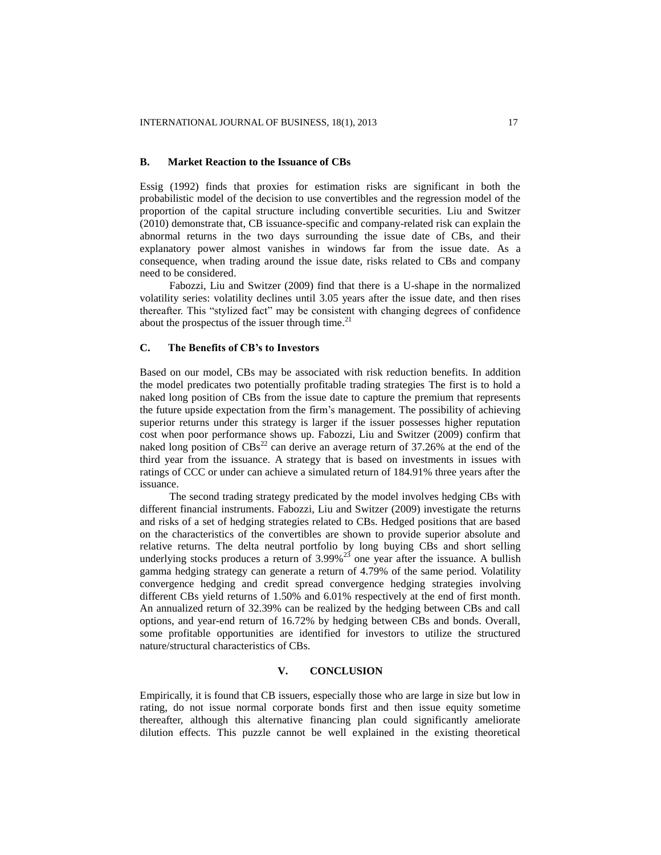#### **B. Market Reaction to the Issuance of CBs**

Essig (1992) finds that proxies for estimation risks are significant in both the probabilistic model of the decision to use convertibles and the regression model of the proportion of the capital structure including convertible securities. Liu and Switzer (2010) demonstrate that, CB issuance-specific and company-related risk can explain the abnormal returns in the two days surrounding the issue date of CBs, and their explanatory power almost vanishes in windows far from the issue date. As a consequence, when trading around the issue date, risks related to CBs and company need to be considered.

Fabozzi, Liu and Switzer (2009) find that there is a U-shape in the normalized volatility series: volatility declines until 3.05 years after the issue date, and then rises thereafter. This "stylized fact" may be consistent with changing degrees of confidence about the prospectus of the issuer through time.<sup>21</sup>

## **C. The Benefits of CB's to Investors**

Based on our model, CBs may be associated with risk reduction benefits. In addition the model predicates two potentially profitable trading strategies The first is to hold a naked long position of CBs from the issue date to capture the premium that represents the future upside expectation from the firm's management. The possibility of achieving superior returns under this strategy is larger if the issuer possesses higher reputation cost when poor performance shows up. Fabozzi, Liu and Switzer (2009) confirm that naked long position of  $CBs<sup>22</sup>$  can derive an average return of 37.26% at the end of the third year from the issuance. A strategy that is based on investments in issues with ratings of CCC or under can achieve a simulated return of 184.91% three years after the issuance.

The second trading strategy predicated by the model involves hedging CBs with different financial instruments. Fabozzi, Liu and Switzer (2009) investigate the returns and risks of a set of hedging strategies related to CBs. Hedged positions that are based on the characteristics of the convertibles are shown to provide superior absolute and relative returns. The delta neutral portfolio by long buying CBs and short selling underlying stocks produces a return of  $3.99\%$ <sup>23</sup> one year after the issuance. A bullish gamma hedging strategy can generate a return of 4.79% of the same period. Volatility convergence hedging and credit spread convergence hedging strategies involving different CBs yield returns of 1.50% and 6.01% respectively at the end of first month. An annualized return of 32.39% can be realized by the hedging between CBs and call options, and year-end return of 16.72% by hedging between CBs and bonds. Overall, some profitable opportunities are identified for investors to utilize the structured nature/structural characteristics of CBs.

## **V. CONCLUSION**

Empirically, it is found that CB issuers, especially those who are large in size but low in rating, do not issue normal corporate bonds first and then issue equity sometime thereafter, although this alternative financing plan could significantly ameliorate dilution effects. This puzzle cannot be well explained in the existing theoretical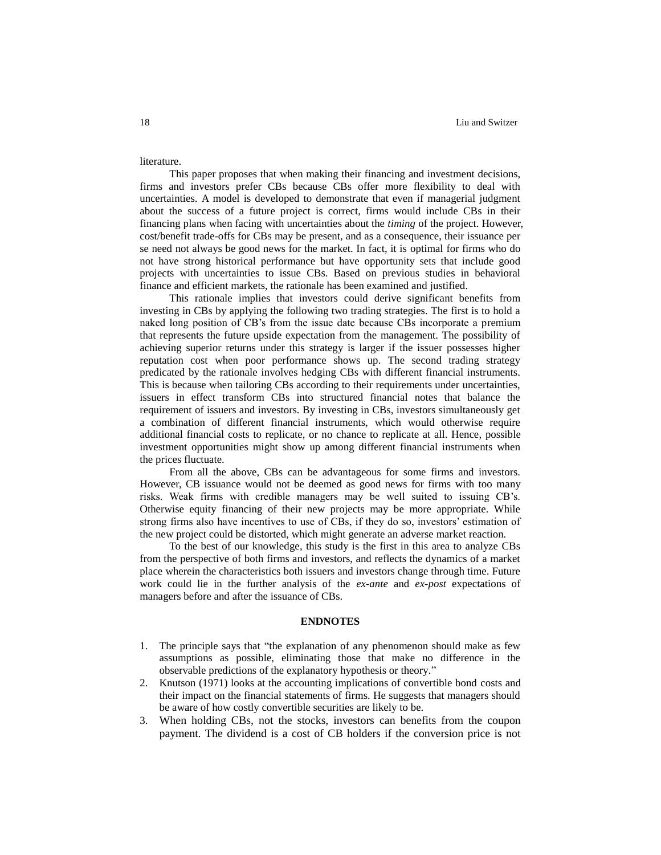literature.

This paper proposes that when making their financing and investment decisions, firms and investors prefer CBs because CBs offer more flexibility to deal with uncertainties. A model is developed to demonstrate that even if managerial judgment about the success of a future project is correct, firms would include CBs in their financing plans when facing with uncertainties about the *timing* of the project. However, cost/benefit trade-offs for CBs may be present, and as a consequence, their issuance per se need not always be good news for the market. In fact, it is optimal for firms who do not have strong historical performance but have opportunity sets that include good projects with uncertainties to issue CBs. Based on previous studies in behavioral finance and efficient markets, the rationale has been examined and justified.

This rationale implies that investors could derive significant benefits from investing in CBs by applying the following two trading strategies. The first is to hold a naked long position of CB's from the issue date because CBs incorporate a premium that represents the future upside expectation from the management. The possibility of achieving superior returns under this strategy is larger if the issuer possesses higher reputation cost when poor performance shows up. The second trading strategy predicated by the rationale involves hedging CBs with different financial instruments. This is because when tailoring CBs according to their requirements under uncertainties, issuers in effect transform CBs into structured financial notes that balance the requirement of issuers and investors. By investing in CBs, investors simultaneously get a combination of different financial instruments, which would otherwise require additional financial costs to replicate, or no chance to replicate at all. Hence, possible investment opportunities might show up among different financial instruments when the prices fluctuate.

From all the above, CBs can be advantageous for some firms and investors. However, CB issuance would not be deemed as good news for firms with too many risks. Weak firms with credible managers may be well suited to issuing CB's. Otherwise equity financing of their new projects may be more appropriate. While strong firms also have incentives to use of CBs, if they do so, investors' estimation of the new project could be distorted, which might generate an adverse market reaction.

To the best of our knowledge, this study is the first in this area to analyze CBs from the perspective of both firms and investors, and reflects the dynamics of a market place wherein the characteristics both issuers and investors change through time. Future work could lie in the further analysis of the *ex-ante* and *ex-post* expectations of managers before and after the issuance of CBs.

#### **ENDNOTES**

- 1. The principle says that "the explanation of any phenomenon should make as few assumptions as possible, eliminating those that make no difference in the observable predictions of the explanatory hypothesis or theory."
- 2. Knutson (1971) looks at the accounting implications of convertible bond costs and their impact on the financial statements of firms. He suggests that managers should be aware of how costly convertible securities are likely to be.
- 3. When holding CBs, not the stocks, investors can benefits from the coupon payment. The dividend is a cost of CB holders if the conversion price is not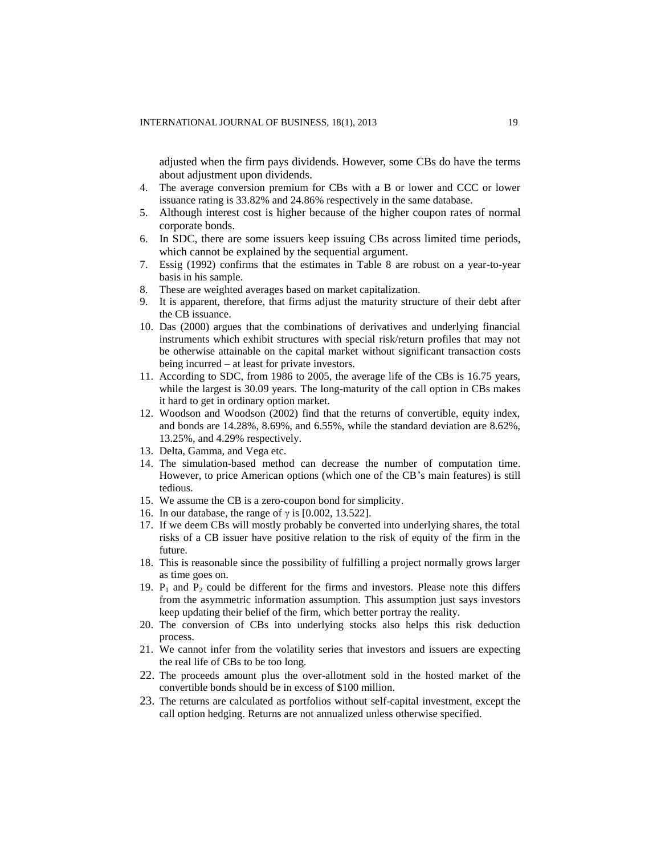adjusted when the firm pays dividends. However, some CBs do have the terms about adjustment upon dividends.

- 4. The average conversion premium for CBs with a B or lower and CCC or lower issuance rating is 33.82% and 24.86% respectively in the same database.
- 5. Although interest cost is higher because of the higher coupon rates of normal corporate bonds.
- 6. In SDC, there are some issuers keep issuing CBs across limited time periods, which cannot be explained by the sequential argument.
- 7. Essig (1992) confirms that the estimates in Table 8 are robust on a year-to-year basis in his sample.
- 8. These are weighted averages based on market capitalization.
- 9. It is apparent, therefore, that firms adjust the maturity structure of their debt after the CB issuance.
- 10. Das (2000) argues that the combinations of derivatives and underlying financial instruments which exhibit structures with special risk/return profiles that may not be otherwise attainable on the capital market without significant transaction costs being incurred – at least for private investors.
- 11. According to SDC, from 1986 to 2005, the average life of the CBs is 16.75 years, while the largest is 30.09 years. The long-maturity of the call option in CBs makes it hard to get in ordinary option market.
- 12. Woodson and Woodson (2002) find that the returns of convertible, equity index, and bonds are 14.28%, 8.69%, and 6.55%, while the standard deviation are 8.62%, 13.25%, and 4.29% respectively.
- 13. Delta, Gamma, and Vega etc.
- 14. The simulation-based method can decrease the number of computation time. However, to price American options (which one of the CB's main features) is still tedious.
- 15. We assume the CB is a zero-coupon bond for simplicity.
- 16. In our database, the range of  $\gamma$  is [0.002, 13.522].
- 17. If we deem CBs will mostly probably be converted into underlying shares, the total risks of a CB issuer have positive relation to the risk of equity of the firm in the future.
- 18. This is reasonable since the possibility of fulfilling a project normally grows larger as time goes on.
- 19.  $P_1$  and  $P_2$  could be different for the firms and investors. Please note this differs from the asymmetric information assumption. This assumption just says investors keep updating their belief of the firm, which better portray the reality.
- 20. The conversion of CBs into underlying stocks also helps this risk deduction process.
- 21. We cannot infer from the volatility series that investors and issuers are expecting the real life of CBs to be too long.
- 22. The proceeds amount plus the over-allotment sold in the hosted market of the convertible bonds should be in excess of \$100 million.
- 23. The returns are calculated as portfolios without self-capital investment, except the call option hedging. Returns are not annualized unless otherwise specified.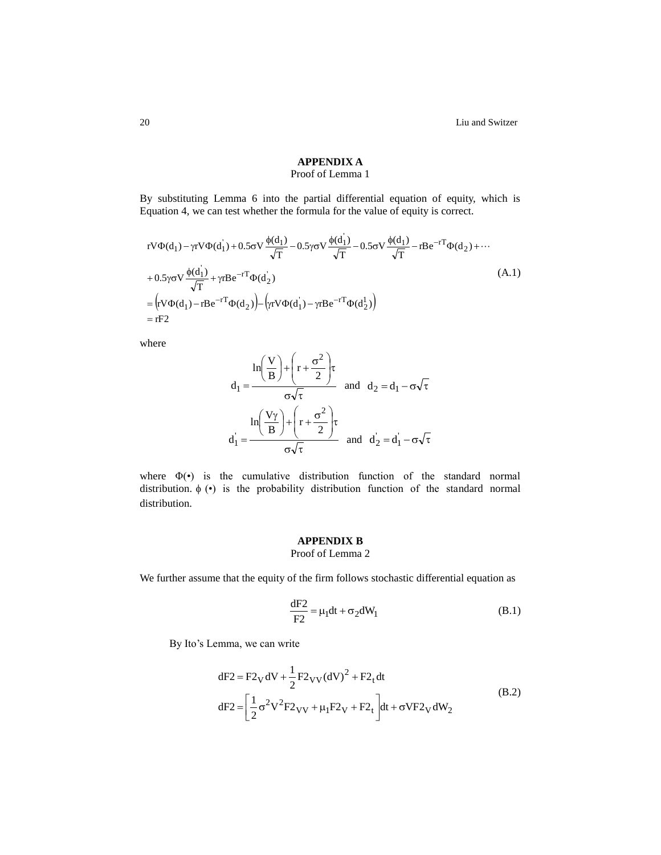20 Liu and Switzer

# **APPENDIX A** Proof of Lemma 1

By substituting Lemma 6 into the partial differential equation of equity, which is Equation 4, we can test whether the formula for the value of equity is correct.

$$
rV\Phi(d_1) - \gamma rV\Phi(d_1) + 0.5\sigma V \frac{\phi(d_1)}{\sqrt{T}} - 0.5\gamma \sigma V \frac{\phi(d_1)}{\sqrt{T}} - 0.5\sigma V \frac{\phi(d_1)}{\sqrt{T}} - rBe^{-rT}\Phi(d_2) + \cdots
$$
  
+ 0.5 $\gamma \sigma V \frac{\phi(d_1)}{\sqrt{T}} + \gamma rBe^{-rT}\Phi(d_2)$   
=  $(rV\Phi(d_1) - rBe^{-rT}\Phi(d_2)) - (\gamma rV\Phi(d_1) - \gamma rBe^{-rT}\Phi(d_2))$  (A.1)  
=  $rF2$ 

where

$$
d_1 = \frac{\ln\left(\frac{V}{B}\right) + \left(r + \frac{\sigma^2}{2}\right)\tau}{\sigma\sqrt{\tau}} \text{ and } d_2 = d_1 - \sigma\sqrt{\tau}
$$
  

$$
d_1 = \frac{\ln\left(\frac{V\gamma}{B}\right) + \left(r + \frac{\sigma^2}{2}\right)\tau}{\sigma\sqrt{\tau}} \text{ and } d_2 = d_1 - \sigma\sqrt{\tau}
$$

where Φ(•) is the cumulative distribution function of the standard normal distribution.  $\phi$  ( $\bullet$ ) is the probability distribution function of the standard normal distribution.

# **APPENDIX B**

Proof of Lemma 2

We further assume that the equity of the firm follows stochastic differential equation as

$$
\frac{dF2}{F2} = \mu_1 dt + \sigma_2 dW_1
$$
 (B.1)

By Ito's Lemma, we can write

$$
dF2 = F2_V dV + \frac{1}{2} F2_{VV} (dV)^2 + F2_t dt
$$
  
\n
$$
dF2 = \left[ \frac{1}{2} \sigma^2 V^2 F2_{VV} + \mu_1 F2_V + F2_t \right] dt + \sigma V F2_V dW_2
$$
\n(B.2)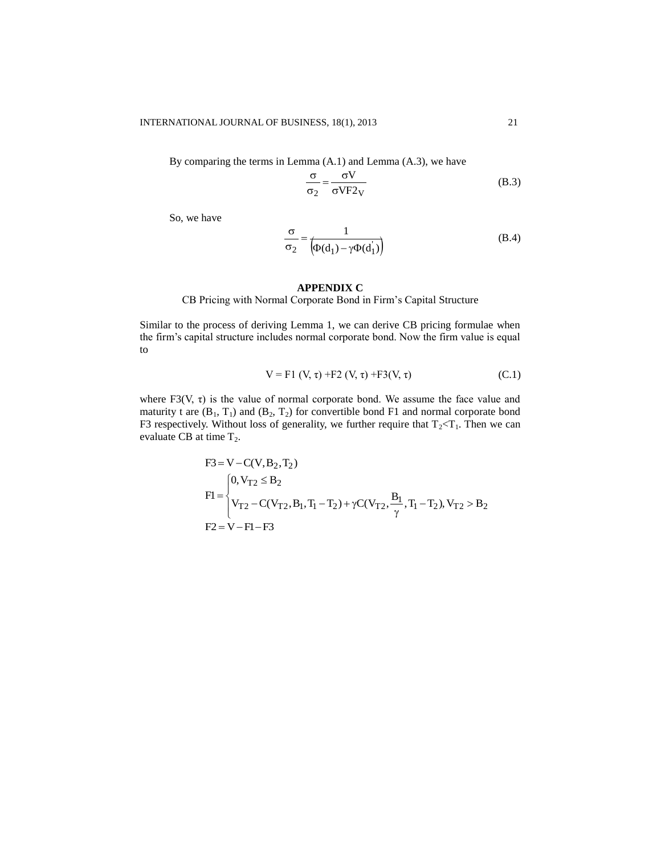By comparing the terms in Lemma (A.1) and Lemma (A.3), we have

$$
\frac{\sigma}{\sigma_2} = \frac{\sigma V}{\sigma V F 2_V}
$$
 (B.3)

So, we have

$$
\frac{\sigma}{\sigma_2} = \frac{1}{\left(\Phi(d_1) - \gamma \Phi(d_1)\right)}
$$
(B.4)

#### **APPENDIX C**

CB Pricing with Normal Corporate Bond in Firm's Capital Structure

Similar to the process of deriving Lemma 1, we can derive CB pricing formulae when the firm's capital structure includes normal corporate bond. Now the firm value is equal to

$$
V = F1 (V, \tau) + F2 (V, \tau) + F3(V, \tau)
$$
 (C.1)

where F3(V,  $\tau$ ) is the value of normal corporate bond. We assume the face value and maturity t are  $(B_1, T_1)$  and  $(B_2, T_2)$  for convertible bond F1 and normal corporate bond F3 respectively. Without loss of generality, we further require that  $T_2 < T_1$ . Then we can evaluate CB at time  $T_2$ .

$$
F3 = V - C(V, B2, T2)
$$
  
\n
$$
F1 =\begin{cases}\n0, V_{T2} \le B_2 \\
V_{T2} - C(V_{T2}, B_1, T_1 - T_2) + \gamma C(V_{T2}, \frac{B_1}{\gamma}, T_1 - T_2), V_{T2} > B_2 \\
F2 = V - F1 - F3\n\end{cases}
$$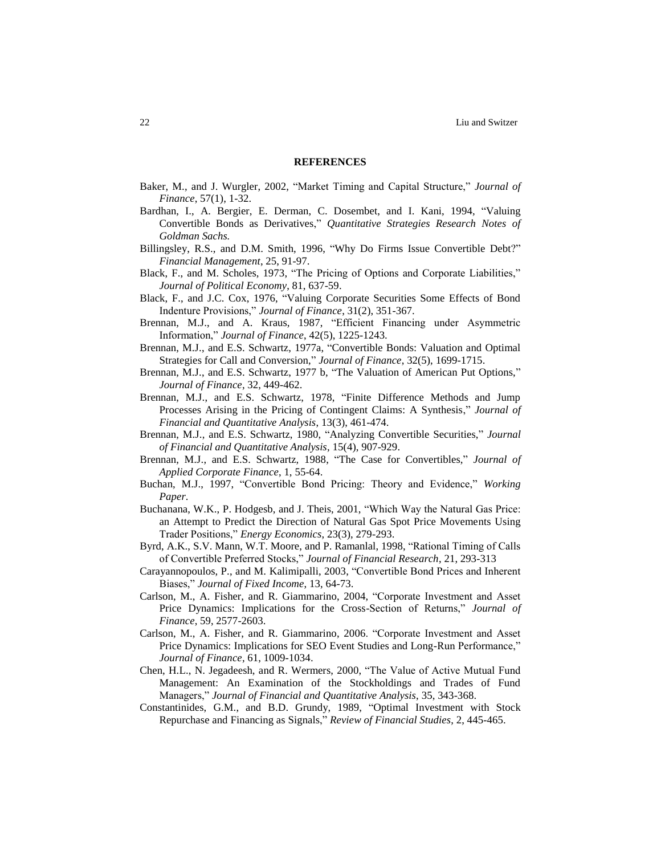#### **REFERENCES**

- Baker, M., and J. Wurgler, 2002, "Market Timing and Capital Structure," *Journal of Finance*, 57(1), 1-32.
- Bardhan, I., A. Bergier, E. Derman, C. Dosembet, and I. Kani, 1994, "Valuing Convertible Bonds as Derivatives," *Quantitative Strategies Research Notes of Goldman Sachs.*
- Billingsley, R.S., and D.M. Smith, 1996, "Why Do Firms Issue Convertible Debt?" *Financial Management*, 25, 91-97.
- Black, F., and M. Scholes, 1973, "The Pricing of Options and Corporate Liabilities," *Journal of Political Economy*, 81, 637-59.
- Black, F., [and J.C. Cox,](http://www.jstor.org/search/Results?mo=bs&Query=aa:%22Fischer%20Black;%20Myron%20Scholes%22&hp=25&si=1) 1976, "Valuing Corporate Securities Some Effects of Bond Indenture Provisions," *Journal of Finance*, 31(2), 351-367.
- Brennan, M.J., and A. Kraus, 1987, "Efficient Financing under Asymmetric Information," *Journal of Finance*, 42(5), 1225-1243.
- Brennan, M.J., and E.S. Schwartz, 1977a, "Convertible Bonds: Valuation and Optimal Strategies for Call and Conversion," *Journal of Finance*, 32(5), 1699-1715.
- Brennan, M.J., and E.S. Schwartz, 1977 b, "The Valuation of American Put Options," *Journal of Finance*, 32, 449-462.
- Brennan, M.J., and E.S. Schwartz, 1978, "Finite Difference Methods and Jump Processes Arising in the Pricing of Contingent Claims: A Synthesis," *Journal of Financial and Quantitative Analysis*, 13(3), 461-474.
- Brennan, M.J., and E.S. Schwartz, 1980, "Analyzing Convertible Securities," *Journal of Financial and Quantitative Analysis*, 15(4), 907-929.
- Brennan, M.J., and E.S. Schwartz, 1988, "The Case for Convertibles," *Journal of Applied Corporate Finance*, 1, 55-64.
- Buchan, M.J., 1997, "Convertible Bond Pricing: Theory and Evidence," *Working Paper*.
- Buchana[na,](http://www.sciencedirect.com/science?_ob=ArticleURL&_udi=B6V7G-42SXDXS-3&_user=10&_coverDate=05%2F31%2F2001&_rdoc=1&_fmt=full&_orig=search&_cdi=5842&_sort=d&_docanchor=&view=c&_acct=C000050221&_version=1&_urlVersion=0&_userid=10&md5=797d7f0fa6d9b869c68c8fabccaac9f2#aff1) W.K., P. Hodge[sb,](http://www.sciencedirect.com/science?_ob=ArticleURL&_udi=B6V7G-42SXDXS-3&_user=10&_coverDate=05%2F31%2F2001&_rdoc=1&_fmt=full&_orig=search&_cdi=5842&_sort=d&_docanchor=&view=c&_acct=C000050221&_version=1&_urlVersion=0&_userid=10&md5=797d7f0fa6d9b869c68c8fabccaac9f2#aff2) and J. Theis, 2001, "Which Way the Natural Gas Price: an Attempt to Predict the Direction of Natural Gas Spot Price Movements Using Trader Positions," *Energy Economics*, 23(3), 279-293.
- Byrd, A.K., S.V. Mann, W.T. Moore, and P. Ramanlal, 1998, "Rational Timing of Calls of Convertible Preferred Stocks," *Journal of Financial Research*, 21, 293-313
- Carayannopoulos, P., and M. Kalimipalli, 2003, "Convertible Bond Prices and Inherent Biases," *Journal of Fixed Income*, 13, 64-73.
- Carlson, M., A. Fisher, and R. Giammarino, 2004, "Corporate Investment and Asset Price Dynamics: Implications for the Cross-Section of Returns," *Journal of Finance*, 59, 2577-2603.
- Carlson, M., A. Fisher, and R. Giammarino, 2006. "Corporate Investment and Asset Price Dynamics: Implications for SEO Event Studies and Long-Run Performance," *Journal of Finance*, 61, 1009-1034.
- Chen, H.L., N. Jegadeesh, and R. Wermers, 2000, "The Value of Active Mutual Fund Management: An Examination of the Stockholdings and Trades of Fund Managers," *Journal of Financial and Quantitative Analysis*, 35, 343-368.
- Constantinides, G.M., and B.D. Grundy, 1989, "Optimal Investment with Stock Repurchase and Financing as Signals," *Review of Financial Studies*, 2, 445-465.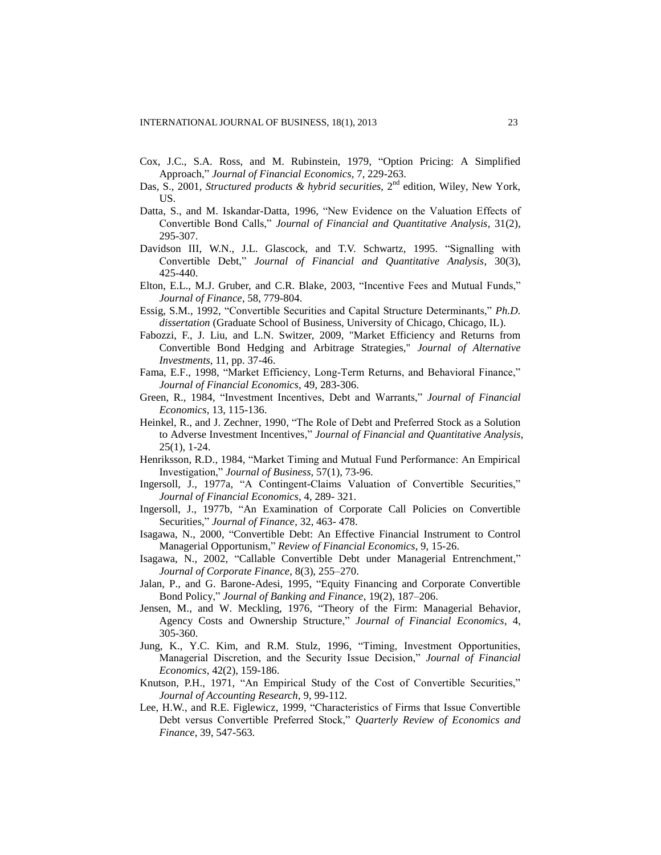- Cox, J.C., S.A. Ross, and M. Rubinstein, 1979, "Option Pricing: A Simplified Approach," *Journal of Financial Economics*, 7, 229-263.
- Das, S., 2001, *Structured products & hybrid securities*, 2<sup>nd</sup> edition, Wiley, New York, US.
- Datta, S., and M. Iskandar-Datta, 1996, "New Evidence on the Valuation Effects of Convertible Bond Calls," *Journal of Financial and Quantitative Analysis*, 31(2), 295-307.
- Davidson III, W.N., J.L. Glascock, and T.V. Schwartz, 1995. "Signalling with Convertible Debt," *Journal of Financial and Quantitative Analysis*, 30(3), 425-440.
- Elton, E.L., M.J. Gruber, and C.R. Blake, 2003, "Incentive Fees and Mutual Funds," *Journal of Finance*, 58, 779-804.
- Essig, S.M., 1992, "Convertible Securities and Capital Structure Determinants," *Ph.D. dissertation* (Graduate School of Business, University of Chicago, Chicago, IL).
- Fabozzi, F., J. Liu, and L.N. Switzer, 2009, "Market Efficiency and Returns from Convertible Bond Hedging and Arbitrage Strategies," *Journal of Alternative Investments*, 11, pp. 37-46.
- Fama, E.F., 1998, "Market Efficiency, Long-Term Returns, and Behavioral Finance," *Journal of Financial Economics*, 49, 283-306.
- Green, R., 1984, "Investment Incentives, Debt and Warrants," *Journal of Financial Economics*, 13, 115-136.
- Heinkel, R., and J. Zechner, 1990, "The Role of Debt and Preferred Stock as a Solution to Adverse Investment Incentives," *Journal of Financial and Quantitative Analysis*, 25(1), 1-24.
- Henriksson, R.D., 1984, "Market Timing and Mutual Fund Performance: An Empirical Investigation," *Journal of Business*, 57(1), 73-96.
- Ingersoll, J., 1977a, "A Contingent-Claims Valuation of Convertible Securities," *Journal of Financial Economics*, 4, 289- 321.
- Ingersoll, J., 1977b, "An Examination of Corporate Call Policies on Convertible Securities," *Journal of Finance*, 32, 463- 478.
- Isagawa, N., 2000, "Convertible Debt: An Effective Financial Instrument to Control Managerial Opportunism," *Review of Financial Economics*, 9, 15-26.
- Isagawa, N., 2002, "Callable Convertible Debt under Managerial Entrenchment," *Journal of Corporate Finance*, 8(3), 255–270.
- Jalan, P., and G. Barone-Adesi, 1995, "Equity Financing and Corporate Convertible Bond Policy," *Journal of Banking and Finance*, 19(2), 187–206.
- Jensen, M., and W. Meckling, 1976, "Theory of the Firm: Managerial Behavior, Agency Costs and Ownership Structure," *Journal of Financial Economics*, 4, 305-360.
- Jung, K., Y.C. Kim, and R.M. Stulz, 1996, "Timing, Investment Opportunities, Managerial Discretion, and the Security Issue Decision," *Journal of Financial Economics*, 42(2), 159-186.
- Knutson, P.H., 1971, "An Empirical Study of the Cost of Convertible Securities," *Journal of Accounting Research*, 9, 99-112.
- Lee, H.W., and R.E. Figlewicz, 1999, "Characteristics of Firms that Issue Convertible Debt versus Convertible Preferred Stock," *Quarterly Review of Economics and Finance*, 39, 547-563.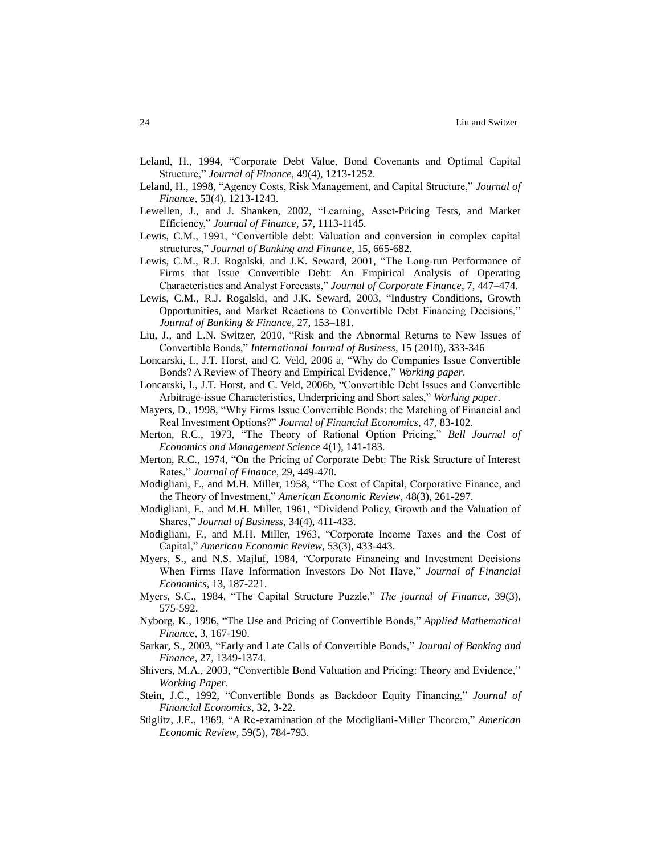- Leland, H., 1994, "Corporate Debt Value, Bond Covenants and Optimal Capital Structure," *Journal of Finance*, 49(4), 1213-1252.
- Leland, H., 1998, "Agency Costs, Risk Management, and Capital Structure," *Journal of Finance*, 53(4), 1213-1243.
- Lewellen, J., and J. Shanken, 2002, "Learning, Asset-Pricing Tests, and Market Efficiency," *Journal of Finance*, 57, 1113-1145.
- Lewis, C.M., 1991, "Convertible debt: Valuation and conversion in complex capital structures," *Journal of Banking and Finance*, 15, 665-682.
- Lewis, C.M., R.J. Rogalski, and J.K. Seward, 2001, "The Long-run Performance of Firms that Issue Convertible Debt: An Empirical Analysis of Operating Characteristics and Analyst Forecasts," *Journal of Corporate Finance*, 7, 447–474.
- Lewis, C.M., R.J. Rogalski, and J.K. Seward, 2003, "Industry Conditions, Growth Opportunities, and Market Reactions to Convertible Debt Financing Decisions," *Journal of Banking & Finance*, 27, 153–181.
- Liu, J., and L.N. Switzer, 2010, "Risk and the Abnormal Returns to New Issues of Convertible Bonds," *International Journal of Business*, 15 (2010), 333-346
- Loncarski, I., J.T. Horst, and C. Veld, 2006 a, "Why do Companies Issue Convertible Bonds? A Review of Theory and Empirical Evidence," *Working paper*.
- Loncarski, I., J.T. Horst, and C. Veld, 2006b, "Convertible Debt Issues and Convertible Arbitrage-issue Characteristics, Underpricing and Short sales," *Working paper*.
- Mayers, D., 1998, "Why Firms Issue Convertible Bonds: the Matching of Financial and Real Investment Options?" *Journal of Financial Economics*, 47, 83-102.
- Merton, R.C., 1973, "The Theory of Rational Option Pricing," *Bell Journal of Economics and Management Science* 4(1), 141-183.
- Merton, R.C., 1974, "On the Pricing of Corporate Debt: The Risk Structure of Interest Rates," *Journal of Finance*, 29, 449-470.
- Modigliani, F., and M.H. Miller, 1958, "The Cost of Capital, Corporative Finance, and the Theory of Investment," *American Economic Review*, 48(3), 261-297.
- Modigliani, F., and M.H. Miller, 1961, "Dividend Policy, Growth and the Valuation of Shares," *Journal of Business*, 34(4), 411-433.
- Modigliani, F., and M.H. Miller, 1963, "Corporate Income Taxes and the Cost of Capital," *American Economic Review*, 53(3), 433-443.
- Myers, S., and N.S. Majluf, 1984, "Corporate Financing and Investment Decisions When Firms Have Information Investors Do Not Have," *Journal of Financial Economics*, 13, 187-221.
- Myers, S.C., 1984, "The Capital Structure Puzzle," *The journal of Finance*, 39(3), 575-592.
- Nyborg, K., 1996, "The Use and Pricing of Convertible Bonds," *Applied Mathematical Finance*, 3, 167-190.
- Sarkar, S., 2003, "Early and Late Calls of Convertible Bonds," *Journal of Banking and Finance*, 27, 1349-1374.
- Shivers, M.A., 2003, "Convertible Bond Valuation and Pricing: Theory and Evidence," *Working Paper*.
- Stein, J.C., 1992, "Convertible Bonds as Backdoor Equity Financing," *Journal of Financial Economics*, 32, 3-22.
- Stiglitz, J.E., 1969, "A Re-examination of the Modigliani-Miller Theorem," *American Economic Review*, 59(5), 784-793.